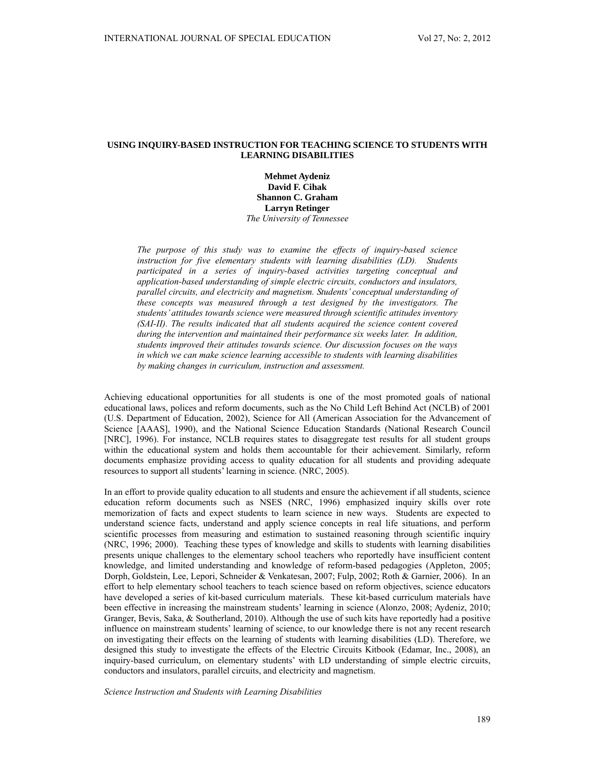# **USING INQUIRY-BASED INSTRUCTION FOR TEACHING SCIENCE TO STUDENTS WITH LEARNING DISABILITIES**

**Mehmet Aydeniz David F. Cihak Shannon C. Graham Larryn Retinger**  *The University of Tennessee* 

*The purpose of this study was to examine the effects of inquiry-based science instruction for five elementary students with learning disabilities (LD). Students participated in a series of inquiry-based activities targeting conceptual and application-based understanding of simple electric circuits, conductors and insulators, parallel circuits, and electricity and magnetism. Students' conceptual understanding of these concepts was measured through a test designed by the investigators. The students' attitudes towards science were measured through scientific attitudes inventory (SAI-II). The results indicated that all students acquired the science content covered during the intervention and maintained their performance six weeks later. In addition, students improved their attitudes towards science. Our discussion focuses on the ways in which we can make science learning accessible to students with learning disabilities by making changes in curriculum, instruction and assessment.* 

Achieving educational opportunities for all students is one of the most promoted goals of national educational laws, polices and reform documents, such as the No Child Left Behind Act (NCLB) of 2001 (U.S. Department of Education, 2002), Science for All (American Association for the Advancement of Science [AAAS], 1990), and the National Science Education Standards (National Research Council [NRC], 1996). For instance, NCLB requires states to disaggregate test results for all student groups within the educational system and holds them accountable for their achievement. Similarly, reform documents emphasize providing access to quality education for all students and providing adequate resources to support all students' learning in science. (NRC, 2005).

In an effort to provide quality education to all students and ensure the achievement if all students, science education reform documents such as NSES (NRC, 1996) emphasized inquiry skills over rote memorization of facts and expect students to learn science in new ways. Students are expected to understand science facts, understand and apply science concepts in real life situations, and perform scientific processes from measuring and estimation to sustained reasoning through scientific inquiry (NRC, 1996; 2000). Teaching these types of knowledge and skills to students with learning disabilities presents unique challenges to the elementary school teachers who reportedly have insufficient content knowledge, and limited understanding and knowledge of reform-based pedagogies (Appleton, 2005; Dorph, Goldstein, Lee, Lepori, Schneider & Venkatesan, 2007; Fulp, 2002; Roth & Garnier, 2006). In an effort to help elementary school teachers to teach science based on reform objectives, science educators have developed a series of kit-based curriculum materials. These kit-based curriculum materials have been effective in increasing the mainstream students' learning in science (Alonzo, 2008; Aydeniz, 2010; Granger, Bevis, Saka, & Southerland, 2010). Although the use of such kits have reportedly had a positive influence on mainstream students' learning of science, to our knowledge there is not any recent research on investigating their effects on the learning of students with learning disabilities (LD). Therefore, we designed this study to investigate the effects of the Electric Circuits Kitbook (Edamar, Inc., 2008), an inquiry-based curriculum, on elementary students' with LD understanding of simple electric circuits, conductors and insulators, parallel circuits, and electricity and magnetism.

*Science Instruction and Students with Learning Disabilities*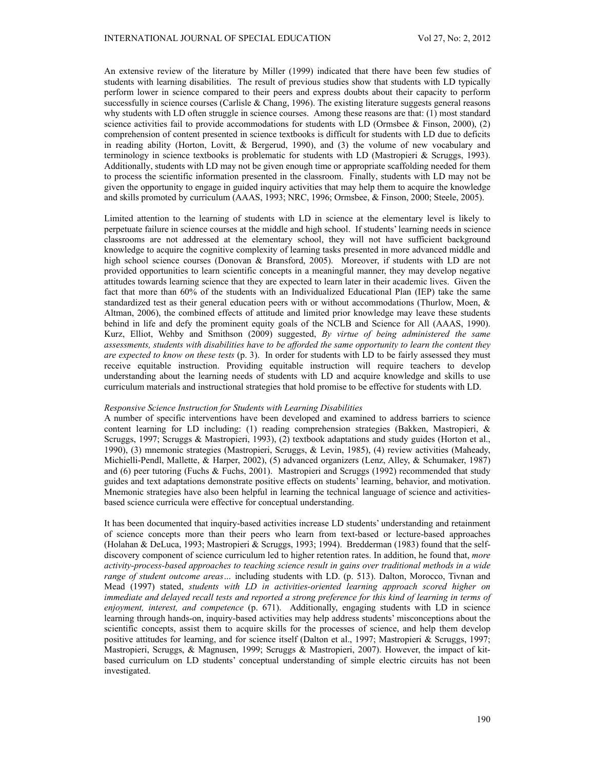An extensive review of the literature by Miller (1999) indicated that there have been few studies of students with learning disabilities. The result of previous studies show that students with LD typically perform lower in science compared to their peers and express doubts about their capacity to perform successfully in science courses (Carlisle & Chang, 1996). The existing literature suggests general reasons why students with LD often struggle in science courses. Among these reasons are that: (1) most standard science activities fail to provide accommodations for students with LD (Ormsbee  $\&$  Finson, 2000), (2) comprehension of content presented in science textbooks is difficult for students with LD due to deficits in reading ability (Horton, Lovitt, & Bergerud, 1990), and (3) the volume of new vocabulary and terminology in science textbooks is problematic for students with LD (Mastropieri & Scruggs, 1993). Additionally, students with LD may not be given enough time or appropriate scaffolding needed for them to process the scientific information presented in the classroom. Finally, students with LD may not be given the opportunity to engage in guided inquiry activities that may help them to acquire the knowledge and skills promoted by curriculum (AAAS, 1993; NRC, 1996; Ormsbee, & Finson, 2000; Steele, 2005).

Limited attention to the learning of students with LD in science at the elementary level is likely to perpetuate failure in science courses at the middle and high school. If students' learning needs in science classrooms are not addressed at the elementary school, they will not have sufficient background knowledge to acquire the cognitive complexity of learning tasks presented in more advanced middle and high school science courses (Donovan & Bransford, 2005). Moreover, if students with LD are not provided opportunities to learn scientific concepts in a meaningful manner, they may develop negative attitudes towards learning science that they are expected to learn later in their academic lives. Given the fact that more than 60% of the students with an Individualized Educational Plan (IEP) take the same standardized test as their general education peers with or without accommodations (Thurlow, Moen, & Altman, 2006), the combined effects of attitude and limited prior knowledge may leave these students behind in life and defy the prominent equity goals of the NCLB and Science for All (AAAS, 1990). Kurz, Elliot, Wehby and Smithson (2009) suggested, *By virtue of being administered the same assessments, students with disabilities have to be afforded the same opportunity to learn the content they are expected to know on these tests* (p. 3). In order for students with LD to be fairly assessed they must receive equitable instruction. Providing equitable instruction will require teachers to develop understanding about the learning needs of students with LD and acquire knowledge and skills to use curriculum materials and instructional strategies that hold promise to be effective for students with LD.

# *Responsive Science Instruction for Students with Learning Disabilities*

A number of specific interventions have been developed and examined to address barriers to science content learning for LD including: (1) reading comprehension strategies (Bakken, Mastropieri, & Scruggs, 1997; Scruggs & Mastropieri, 1993), (2) textbook adaptations and study guides (Horton et al., 1990), (3) mnemonic strategies (Mastropieri, Scruggs, & Levin, 1985), (4) review activities (Maheady, Michielli-Pendl, Mallette, & Harper, 2002), (5) advanced organizers (Lenz, Alley, & Schumaker, 1987) and (6) peer tutoring (Fuchs & Fuchs, 2001). Mastropieri and Scruggs (1992) recommended that study guides and text adaptations demonstrate positive effects on students' learning, behavior, and motivation. Mnemonic strategies have also been helpful in learning the technical language of science and activitiesbased science curricula were effective for conceptual understanding.

It has been documented that inquiry-based activities increase LD students' understanding and retainment of science concepts more than their peers who learn from text-based or lecture-based approaches (Holahan & DeLuca, 1993; Mastropieri & Scruggs, 1993; 1994). Bredderman (1983) found that the selfdiscovery component of science curriculum led to higher retention rates. In addition, he found that, *more activity-process-based approaches to teaching science result in gains over traditional methods in a wide range of student outcome areas…* including students with LD. (p. 513). Dalton, Morocco, Tivnan and Mead (1997) stated, *students with LD in activities-oriented learning approach scored higher on immediate and delayed recall tests and reported a strong preference for this kind of learning in terms of enjoyment, interest, and competence* (p. 671). Additionally, engaging students with LD in science learning through hands-on, inquiry-based activities may help address students' misconceptions about the scientific concepts, assist them to acquire skills for the processes of science, and help them develop positive attitudes for learning, and for science itself (Dalton et al., 1997; Mastropieri & Scruggs, 1997; Mastropieri, Scruggs, & Magnusen, 1999; Scruggs & Mastropieri, 2007). However, the impact of kitbased curriculum on LD students' conceptual understanding of simple electric circuits has not been investigated.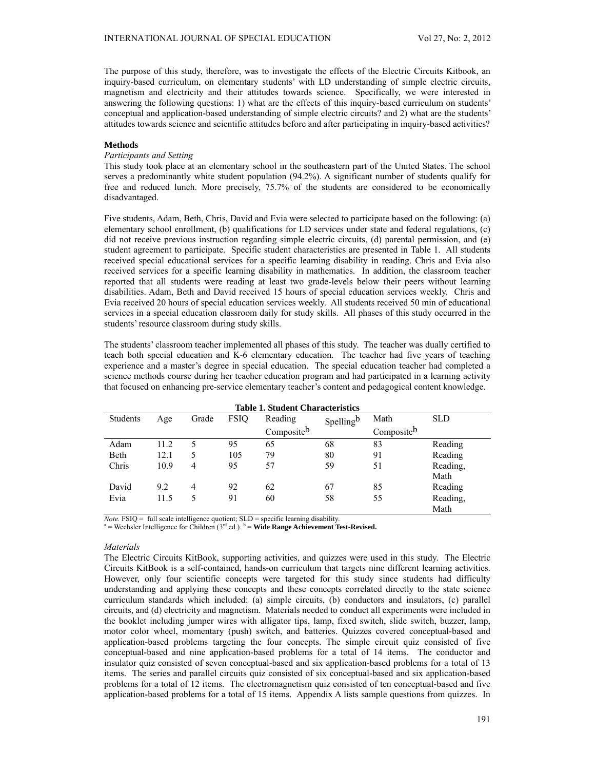The purpose of this study, therefore, was to investigate the effects of the Electric Circuits Kitbook, an inquiry-based curriculum, on elementary students' with LD understanding of simple electric circuits, magnetism and electricity and their attitudes towards science. Specifically, we were interested in answering the following questions: 1) what are the effects of this inquiry-based curriculum on students' conceptual and application-based understanding of simple electric circuits? and 2) what are the students' attitudes towards science and scientific attitudes before and after participating in inquiry-based activities?

# **Methods**

# *Participants and Setting*

This study took place at an elementary school in the southeastern part of the United States. The school serves a predominantly white student population (94.2%). A significant number of students qualify for free and reduced lunch. More precisely, 75.7% of the students are considered to be economically disadvantaged.

Five students, Adam, Beth, Chris, David and Evia were selected to participate based on the following: (a) elementary school enrollment, (b) qualifications for LD services under state and federal regulations, (c) did not receive previous instruction regarding simple electric circuits, (d) parental permission, and (e) student agreement to participate. Specific student characteristics are presented in Table 1. All students received special educational services for a specific learning disability in reading. Chris and Evia also received services for a specific learning disability in mathematics. In addition, the classroom teacher reported that all students were reading at least two grade-levels below their peers without learning disabilities. Adam, Beth and David received 15 hours of special education services weekly. Chris and Evia received 20 hours of special education services weekly. All students received 50 min of educational services in a special education classroom daily for study skills. All phases of this study occurred in the students' resource classroom during study skills.

The students' classroom teacher implemented all phases of this study. The teacher was dually certified to teach both special education and K-6 elementary education. The teacher had five years of teaching experience and a master's degree in special education. The special education teacher had completed a science methods course during her teacher education program and had participated in a learning activity that focused on enhancing pre-service elementary teacher's content and pedagogical content knowledge.

| Table 1. Student Characteristics |      |       |             |            |           |            |            |
|----------------------------------|------|-------|-------------|------------|-----------|------------|------------|
| Students                         | Age  | Grade | <b>FSIQ</b> | Reading    | Spellingb | Math       | <b>SLD</b> |
|                                  |      |       |             | Compositeb |           | Compositeb |            |
| Adam                             | 11.2 |       | 95          | 65         | 68        | 83         | Reading    |
| Beth                             | 12.1 |       | 105         | 79         | 80        | 91         | Reading    |
| Chris                            | 10.9 | 4     | 95          | 57         | 59        | 51         | Reading,   |
|                                  |      |       |             |            |           |            | Math       |
| David                            | 9.2  | 4     | 92          | 62         | 67        | 85         | Reading    |
| Evia                             | 11.5 |       | 91          | 60         | 58        | 55         | Reading,   |
|                                  |      |       |             |            |           |            | Math       |

**Table 1. Student Characteristics** 

*Note.* FSIQ = full scale intelligence quotient;  $SLD$  = specific learning disability.  $=$  Wechsler Intelligence for Children ( $3<sup>rd</sup>$  ed.).  $<sup>b</sup>$  = **Wide Range Achievement Test-Revised.**</sup>

#### *Materials*

The Electric Circuits KitBook, supporting activities, and quizzes were used in this study. The Electric Circuits KitBook is a self-contained, hands-on curriculum that targets nine different learning activities. However, only four scientific concepts were targeted for this study since students had difficulty understanding and applying these concepts and these concepts correlated directly to the state science curriculum standards which included: (a) simple circuits, (b) conductors and insulators, (c) parallel circuits, and (d) electricity and magnetism. Materials needed to conduct all experiments were included in the booklet including jumper wires with alligator tips, lamp, fixed switch, slide switch, buzzer, lamp, motor color wheel, momentary (push) switch, and batteries. Quizzes covered conceptual-based and application-based problems targeting the four concepts. The simple circuit quiz consisted of five conceptual-based and nine application-based problems for a total of 14 items. The conductor and insulator quiz consisted of seven conceptual-based and six application-based problems for a total of 13 items. The series and parallel circuits quiz consisted of six conceptual-based and six application-based problems for a total of 12 items. The electromagnetism quiz consisted of ten conceptual-based and five application-based problems for a total of 15 items. Appendix A lists sample questions from quizzes. In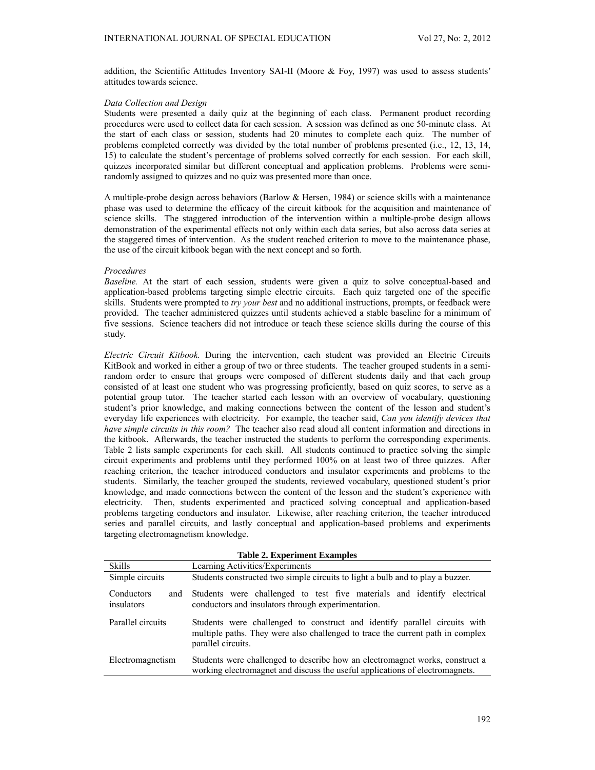addition, the Scientific Attitudes Inventory SAI-II (Moore & Foy, 1997) was used to assess students' attitudes towards science.

#### *Data Collection and Design*

Students were presented a daily quiz at the beginning of each class. Permanent product recording procedures were used to collect data for each session. A session was defined as one 50-minute class. At the start of each class or session, students had 20 minutes to complete each quiz. The number of problems completed correctly was divided by the total number of problems presented (i.e., 12, 13, 14, 15) to calculate the student's percentage of problems solved correctly for each session. For each skill, quizzes incorporated similar but different conceptual and application problems. Problems were semirandomly assigned to quizzes and no quiz was presented more than once.

A multiple-probe design across behaviors (Barlow & Hersen, 1984) or science skills with a maintenance phase was used to determine the efficacy of the circuit kitbook for the acquisition and maintenance of science skills. The staggered introduction of the intervention within a multiple-probe design allows demonstration of the experimental effects not only within each data series, but also across data series at the staggered times of intervention. As the student reached criterion to move to the maintenance phase, the use of the circuit kitbook began with the next concept and so forth.

# *Procedures*

*Baseline.* At the start of each session, students were given a quiz to solve conceptual-based and application-based problems targeting simple electric circuits. Each quiz targeted one of the specific skills. Students were prompted to *try your best* and no additional instructions, prompts, or feedback were provided. The teacher administered quizzes until students achieved a stable baseline for a minimum of five sessions. Science teachers did not introduce or teach these science skills during the course of this study.

*Electric Circuit Kitbook.* During the intervention, each student was provided an Electric Circuits KitBook and worked in either a group of two or three students. The teacher grouped students in a semirandom order to ensure that groups were composed of different students daily and that each group consisted of at least one student who was progressing proficiently, based on quiz scores, to serve as a potential group tutor. The teacher started each lesson with an overview of vocabulary, questioning student's prior knowledge, and making connections between the content of the lesson and student's everyday life experiences with electricity. For example, the teacher said, *Can you identify devices that have simple circuits in this room?* The teacher also read aloud all content information and directions in the kitbook. Afterwards, the teacher instructed the students to perform the corresponding experiments. Table 2 lists sample experiments for each skill. All students continued to practice solving the simple circuit experiments and problems until they performed 100% on at least two of three quizzes. After reaching criterion, the teacher introduced conductors and insulator experiments and problems to the students. Similarly, the teacher grouped the students, reviewed vocabulary, questioned student's prior knowledge, and made connections between the content of the lesson and the student's experience with electricity. Then, students experimented and practiced solving conceptual and application-based problems targeting conductors and insulator. Likewise, after reaching criterion, the teacher introduced series and parallel circuits, and lastly conceptual and application-based problems and experiments targeting electromagnetism knowledge.

| <b>Table 2. Experiment Examples</b> |                                                                                                                                                                                   |  |  |  |  |  |
|-------------------------------------|-----------------------------------------------------------------------------------------------------------------------------------------------------------------------------------|--|--|--|--|--|
| <b>Skills</b>                       | Learning Activities/Experiments                                                                                                                                                   |  |  |  |  |  |
| Simple circuits                     | Students constructed two simple circuits to light a bulb and to play a buzzer.                                                                                                    |  |  |  |  |  |
| Conductors<br>and<br>insulators     | Students were challenged to test five materials and identify electrical<br>conductors and insulators through experimentation.                                                     |  |  |  |  |  |
| Parallel circuits                   | Students were challenged to construct and identify parallel circuits with<br>multiple paths. They were also challenged to trace the current path in complex<br>parallel circuits. |  |  |  |  |  |
| Electromagnetism                    | Students were challenged to describe how an electromagnet works, construct a<br>working electromagnet and discuss the useful applications of electromagnets.                      |  |  |  |  |  |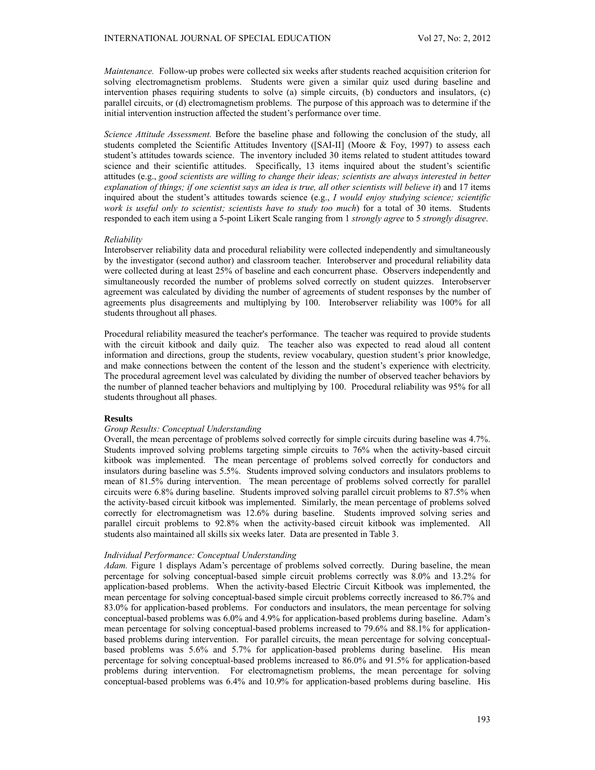*Maintenance.* Follow-up probes were collected six weeks after students reached acquisition criterion for solving electromagnetism problems. Students were given a similar quiz used during baseline and intervention phases requiring students to solve (a) simple circuits, (b) conductors and insulators, (c) parallel circuits, or (d) electromagnetism problems. The purpose of this approach was to determine if the initial intervention instruction affected the student's performance over time.

*Science Attitude Assessment.* Before the baseline phase and following the conclusion of the study, all students completed the Scientific Attitudes Inventory ([SAI-II] (Moore & Foy, 1997) to assess each student's attitudes towards science. The inventory included 30 items related to student attitudes toward science and their scientific attitudes. Specifically, 13 items inquired about the student's scientific attitudes (e.g., *good scientists are willing to change their ideas; scientists are always interested in better explanation of things; if one scientist says an idea is true, all other scientists will believe it*) and 17 items inquired about the student's attitudes towards science (e.g., *I would enjoy studying science; scientific work is useful only to scientist; scientists have to study too much*) for a total of 30 items. Students responded to each item using a 5-point Likert Scale ranging from 1 *strongly agree* to 5 *strongly disagree*.

# *Reliability*

Interobserver reliability data and procedural reliability were collected independently and simultaneously by the investigator (second author) and classroom teacher. Interobserver and procedural reliability data were collected during at least 25% of baseline and each concurrent phase. Observers independently and simultaneously recorded the number of problems solved correctly on student quizzes. Interobserver agreement was calculated by dividing the number of agreements of student responses by the number of agreements plus disagreements and multiplying by 100. Interobserver reliability was 100% for all students throughout all phases.

Procedural reliability measured the teacher's performance. The teacher was required to provide students with the circuit kitbook and daily quiz. The teacher also was expected to read aloud all content information and directions, group the students, review vocabulary, question student's prior knowledge, and make connections between the content of the lesson and the student's experience with electricity. The procedural agreement level was calculated by dividing the number of observed teacher behaviors by the number of planned teacher behaviors and multiplying by 100. Procedural reliability was 95% for all students throughout all phases.

# **Results**

# *Group Results: Conceptual Understanding*

Overall, the mean percentage of problems solved correctly for simple circuits during baseline was 4.7%. Students improved solving problems targeting simple circuits to 76% when the activity-based circuit kitbook was implemented. The mean percentage of problems solved correctly for conductors and insulators during baseline was 5.5%. Students improved solving conductors and insulators problems to mean of 81.5% during intervention. The mean percentage of problems solved correctly for parallel circuits were 6.8% during baseline. Students improved solving parallel circuit problems to 87.5% when the activity-based circuit kitbook was implemented. Similarly, the mean percentage of problems solved correctly for electromagnetism was 12.6% during baseline. Students improved solving series and parallel circuit problems to 92.8% when the activity-based circuit kitbook was implemented. All students also maintained all skills six weeks later. Data are presented in Table 3.

# *Individual Performance: Conceptual Understanding*

*Adam.* Figure 1 displays Adam's percentage of problems solved correctly. During baseline, the mean percentage for solving conceptual-based simple circuit problems correctly was 8.0% and 13.2% for application-based problems. When the activity-based Electric Circuit Kitbook was implemented, the mean percentage for solving conceptual-based simple circuit problems correctly increased to 86.7% and 83.0% for application-based problems. For conductors and insulators, the mean percentage for solving conceptual-based problems was 6.0% and 4.9% for application-based problems during baseline. Adam's mean percentage for solving conceptual-based problems increased to 79.6% and 88.1% for applicationbased problems during intervention. For parallel circuits, the mean percentage for solving conceptualbased problems was 5.6% and 5.7% for application-based problems during baseline. His mean percentage for solving conceptual-based problems increased to 86.0% and 91.5% for application-based problems during intervention. For electromagnetism problems, the mean percentage for solving conceptual-based problems was 6.4% and 10.9% for application-based problems during baseline. His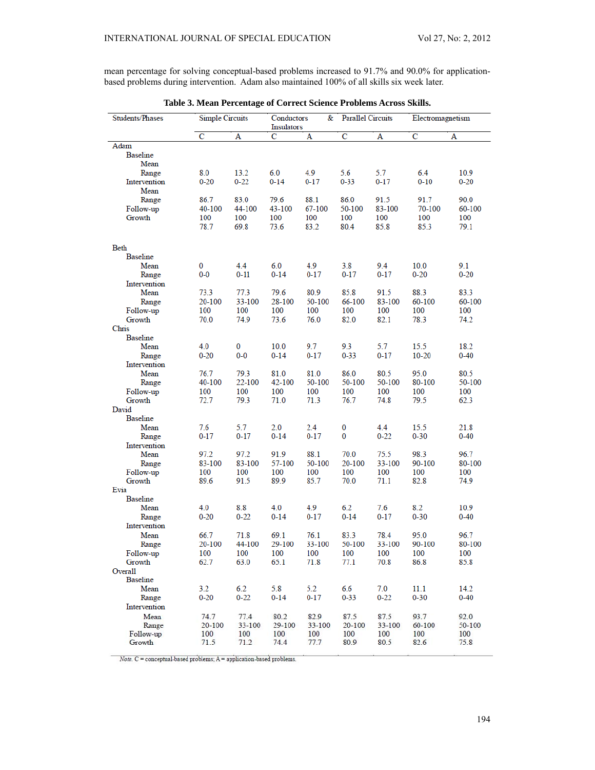mean percentage for solving conceptual-based problems increased to 91.7% and 90.0% for applicationbased problems during intervention. Adam also maintained 100% of all skills six week later.

| Students/Phases         | <b>Simple Circuits</b> |                    | &<br>Conductors<br><b>Insulators</b> |                    | <b>Parallel Circuits</b> |                    | Electromagnetism |                |
|-------------------------|------------------------|--------------------|--------------------------------------|--------------------|--------------------------|--------------------|------------------|----------------|
|                         | с                      | А                  | Ċ                                    | A                  | $\overline{\text{c}}$    | A                  | $\overline{c}$   | A              |
| Adam                    |                        |                    |                                      |                    |                          |                    |                  |                |
| <b>Baseline</b>         |                        |                    |                                      |                    |                          |                    |                  |                |
| Mean                    |                        |                    |                                      |                    |                          |                    |                  |                |
| Range                   | 8.0                    | 13.2               | 6.0                                  | 4.9                | 5.6                      | 5.7                | 6.4              | 10.9           |
| Intervention            | $0 - 20$               | $0 - 22$           | $0 - 14$                             | $0 - 17$           | $0 - 33$                 | $0 - 17$           | $0 - 10$         | 0-20           |
| Mean                    |                        |                    |                                      |                    |                          |                    |                  |                |
| Range                   | 86.7                   | 83.0               | 79.6                                 | 88.1               | 86.0                     | 91.5               | 91.7             | 90.0           |
| Follow-up               | 40-100                 | 44-100             | 43-100                               | 67-100             | 50-100                   | 83-100             | 70-100           | 60-100         |
| Growth                  | 100                    | 100                | 100                                  | 100                | 100                      | 100                | 100              | 100            |
|                         | 78.7                   | 69.8               | 73.6                                 | 83.2               | 80.4                     | 85.8               | 85.3             | 79.1           |
|                         |                        |                    |                                      |                    |                          |                    |                  |                |
| Beth                    |                        |                    |                                      |                    |                          |                    |                  |                |
| <b>Baseline</b><br>Mean | 0                      | 4.4                | 6.0                                  | 4.9                | 3.8                      | 9.4                | 10.0             | 9.1            |
|                         | $0-0$                  | $0 - 11$           | $0 - 14$                             | $0 - 17$           | $0 - 17$                 | $0 - 17$           | $0 - 20$         | $0 - 20$       |
| Range<br>Intervention   |                        |                    |                                      |                    |                          |                    |                  |                |
| Mean                    | 73.3                   | 77.3               | 79.6                                 | 80.9               | 85.8                     | 91.5               | 88.3             | 83.3           |
| Range                   | 20-100                 | 33-100             | 28-100                               | 50-100             | 66-100                   | 83-100             | 60-100           | 60-100         |
| Follow-up               | 100                    | 100                | 100                                  | 100                | 100                      | 100                | 100              | 100            |
| Growth                  | 70.0                   | 74.9               | 73.6                                 | 76.0               | 82.0                     | 82.1               | 78.3             | 74.2           |
| Chris                   |                        |                    |                                      |                    |                          |                    |                  |                |
| <b>Baseline</b>         |                        |                    |                                      |                    |                          |                    |                  |                |
| Mean                    | 4.0                    | 0                  | 10.0                                 | 9.7                | 9.3                      | 5.7                | 15.5             | 18.2           |
| Range                   | $0 - 20$               | $0 - 0$            | $0 - 14$                             | $0 - 17$           | $0 - 33$                 | $0 - 17$           | $10 - 20$        | $0 - 40$       |
| Intervention            |                        |                    |                                      |                    |                          |                    |                  |                |
| Mean                    | 76.7                   | 79.3               | 81.0                                 | 81.0               | 86.0                     | 80.5               | 95.0             | 80.5           |
| Range                   | 40-100                 | 22-100             | 42-100                               | 50-100             | 50-100                   | 50-100             | 80-100           | 50-100         |
| Follow-up<br>Growth     | 100<br>72.7            | 100<br>79.3        | 100<br>71.0                          | 100<br>71.3        | 100<br>76.7              | 100<br>74.8        | 100<br>79.5      | 100<br>62.3    |
| David                   |                        |                    |                                      |                    |                          |                    |                  |                |
| Baseline                |                        |                    |                                      |                    |                          |                    |                  |                |
| Mean                    | 7.6                    | 5.7                | 2.0                                  | 2.4                | 0                        | 4.4                | 15.5             | 21.8           |
| Range                   | $0 - 17$               | $0 - 17$           | $0 - 14$                             | $0 - 17$           | 0                        | $0 - 22$           | $0 - 30$         | $0 - 40$       |
| Intervention            |                        |                    |                                      |                    |                          |                    |                  |                |
| Mean                    | 97.2                   | 97.2               | 91.9                                 | 88.1               | 70.0                     | 75.5               | 98.3             | 96.7           |
| Range                   | 83-100                 | 83-100             | 57-100                               | 50-100             | 20-100                   | 33-100             | 90-100           | 80-100         |
| Follow-up               | 100                    | 100                | 100                                  | 100                | 100                      | 100                | 100              | 100            |
| Growth                  | 89.6                   | 91.5               | 89.9                                 | 85.7               | 70.0                     | 71.1               | 82.8             | 74.9           |
| Evia<br><b>Baseline</b> |                        |                    |                                      |                    |                          |                    |                  |                |
| Mean                    | 4.0                    | 8.8                | 4.0                                  | 4.9                | 6.2                      | 7.6                | 8.2              | 10.9           |
| Range                   | $0 - 20$               | $0 - 22$           | $0 - 14$                             | $0 - 17$           | $0 - 14$                 | $0 - 17$           | $0 - 30$         | $0 - 40$       |
| Intervention            |                        |                    |                                      |                    |                          |                    |                  |                |
| Mean                    | 66.7                   | 71.8               | 69.1                                 | 76.1               | 83.3                     | 78.4               | 95.0             | 96.7           |
| Range                   | 20-100                 | 44-100             | 29-100                               | 33-100             | 50-100                   | 33-100             | 90-100           | 80-100         |
| Follow-up               | 100                    | 100                | 100                                  | 100                | 100                      | 100                | 100              | 100            |
| Growth                  | 62.7                   | 63.0               | 65.1                                 | 71.8               | 77.1                     | 70.8               | 86.8             | 85.8           |
| Overall                 |                        |                    |                                      |                    |                          |                    |                  |                |
| Baseline                |                        |                    |                                      |                    |                          |                    |                  |                |
| Mean                    | 3.2                    | 6.2                | 5.8                                  | 5.2                | 6.6                      | 7.0                | 11.1             | 14.2           |
| Range                   | $0 - 20$               | $0 - 22$           | $0 - 14$                             | $0 - 17$           | $0 - 33$                 | $0 - 22$           | $0 - 30$         | $0 - 40$       |
| Intervention            |                        |                    |                                      |                    |                          |                    |                  |                |
| Mean                    | 74.7<br>20-100         | 77.4<br>$33 - 100$ | 80.2<br>29-100                       | 82.9<br>$33 - 100$ | 87.5<br>$20 - 100$       | 87.5<br>$33 - 100$ | 93.7             | 92.0<br>50-100 |
| Range<br>Follow-up      | 100                    | 100                | 100                                  | 100                | 100                      | 100                | 60-100<br>100    | 100            |
| Growth                  | 71.5                   | 71.2               | 74.4                                 | 77.7               | 80.9                     | 80.5               | 82.6             | 75.8           |
|                         |                        |                    |                                      |                    |                          |                    |                  |                |

**Table 3. Mean Percentage of Correct Science Problems Across Skills.**

 $Note. C = conceptual-based problems; A = application-based problems.$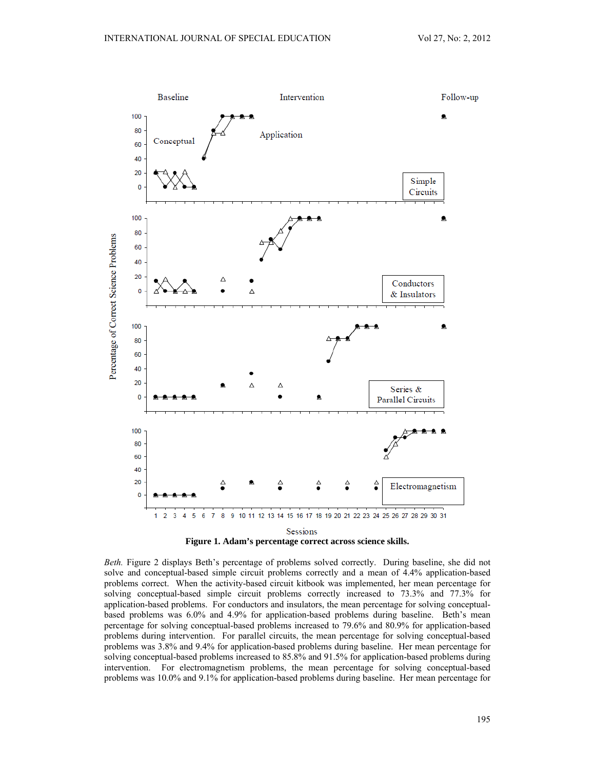

**Figure 1. Adam's percentage correct across science skills.** 

*Beth.* Figure 2 displays Beth's percentage of problems solved correctly. During baseline, she did not solve and conceptual-based simple circuit problems correctly and a mean of 4.4% application-based problems correct. When the activity-based circuit kitbook was implemented, her mean percentage for solving conceptual-based simple circuit problems correctly increased to 73.3% and 77.3% for application-based problems. For conductors and insulators, the mean percentage for solving conceptualbased problems was 6.0% and 4.9% for application-based problems during baseline. Beth's mean percentage for solving conceptual-based problems increased to 79.6% and 80.9% for application-based problems during intervention. For parallel circuits, the mean percentage for solving conceptual-based problems was 3.8% and 9.4% for application-based problems during baseline. Her mean percentage for solving conceptual-based problems increased to 85.8% and 91.5% for application-based problems during intervention. For electromagnetism problems, the mean percentage for solving conceptual-based problems was 10.0% and 9.1% for application-based problems during baseline. Her mean percentage for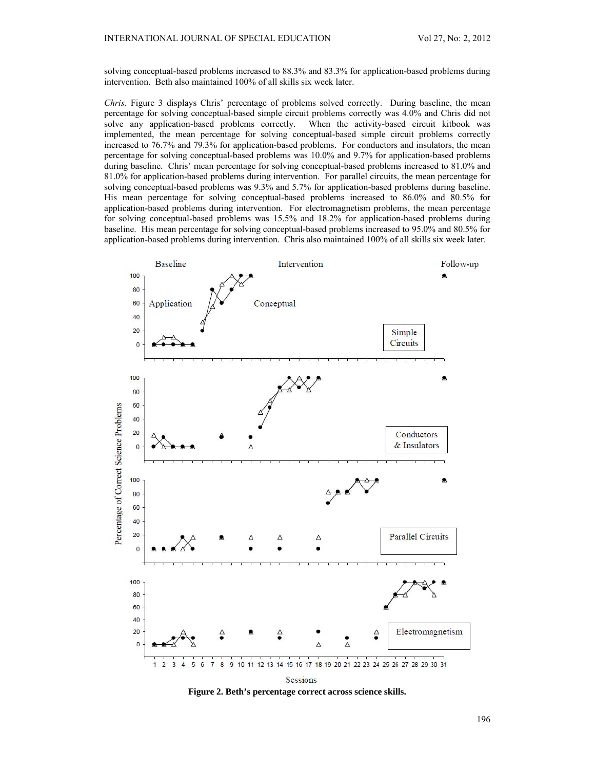solving conceptual-based problems increased to 88.3% and 83.3% for application-based problems during intervention. Beth also maintained 100% of all skills six week later.

*Chris.* Figure 3 displays Chris' percentage of problems solved correctly. During baseline, the mean percentage for solving conceptual-based simple circuit problems correctly was 4.0% and Chris did not solve any application-based problems correctly. When the activity-based circuit kitbook was solve any application-based problems correctly. implemented, the mean percentage for solving conceptual-based simple circuit problems correctly increased to 76.7% and 79.3% for application-based problems. For conductors and insulators, the mean percentage for solving conceptual-based problems was 10.0% and 9.7% for application-based problems during baseline. Chris' mean percentage for solving conceptual-based problems increased to 81.0% and 81.0% for application-based problems during intervention. For parallel circuits, the mean percentage for solving conceptual-based problems was 9.3% and 5.7% for application-based problems during baseline. His mean percentage for solving conceptual-based problems increased to 86.0% and 80.5% for application-based problems during intervention. For electromagnetism problems, the mean percentage for solving conceptual-based problems was 15.5% and 18.2% for application-based problems during baseline. His mean percentage for solving conceptual-based problems increased to 95.0% and 80.5% for application-based problems during intervention. Chris also maintained 100% of all skills six week later.



**Figure 2. Beth's percentage correct across science skills.**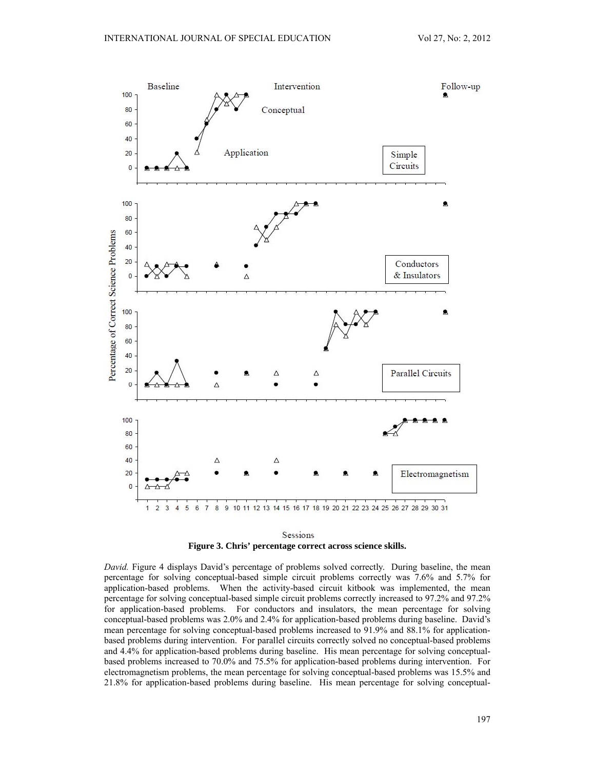

Sessions **Figure 3. Chris' percentage correct across science skills.** 

*David.* Figure 4 displays David's percentage of problems solved correctly. During baseline, the mean percentage for solving conceptual-based simple circuit problems correctly was 7.6% and 5.7% for application-based problems. When the activity-based circuit kitbook was implemented, the mean percentage for solving conceptual-based simple circuit problems correctly increased to 97.2% and 97.2% for application-based problems. For conductors and insulators, the mean percentage for solving conceptual-based problems was 2.0% and 2.4% for application-based problems during baseline. David's mean percentage for solving conceptual-based problems increased to 91.9% and 88.1% for applicationbased problems during intervention. For parallel circuits correctly solved no conceptual-based problems and 4.4% for application-based problems during baseline. His mean percentage for solving conceptualbased problems increased to 70.0% and 75.5% for application-based problems during intervention. For electromagnetism problems, the mean percentage for solving conceptual-based problems was 15.5% and 21.8% for application-based problems during baseline. His mean percentage for solving conceptual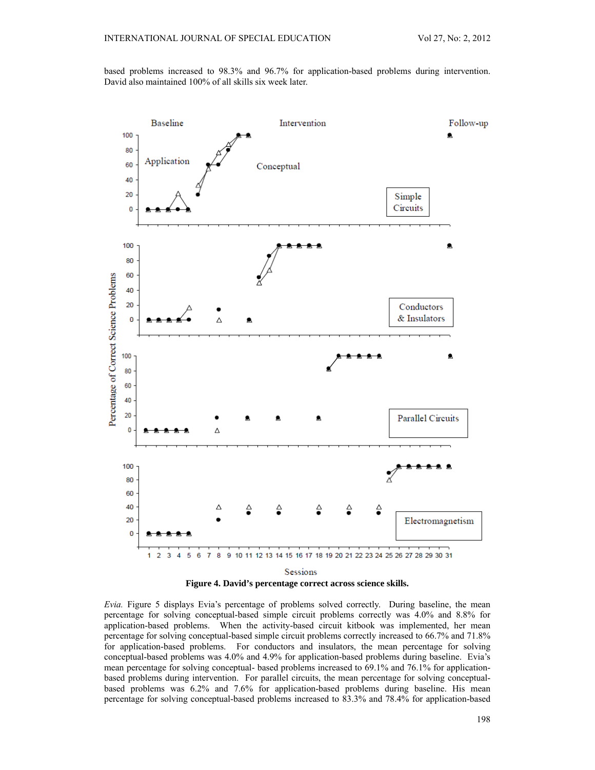based problems increased to 98.3% and 96.7% for application-based problems during intervention. David also maintained 100% of all skills six week later.



**Figure 4. David's percentage correct across science skills.** 

*Evia.* Figure 5 displays Evia's percentage of problems solved correctly. During baseline, the mean percentage for solving conceptual-based simple circuit problems correctly was 4.0% and 8.8% for application-based problems. When the activity-based circuit kitbook was implemented, her mean percentage for solving conceptual-based simple circuit problems correctly increased to 66.7% and 71.8% for application-based problems. For conductors and insulators, the mean percentage for solving conceptual-based problems was 4.0% and 4.9% for application-based problems during baseline. Evia's mean percentage for solving conceptual- based problems increased to 69.1% and 76.1% for applicationbased problems during intervention. For parallel circuits, the mean percentage for solving conceptualbased problems was 6.2% and 7.6% for application-based problems during baseline. His mean percentage for solving conceptual-based problems increased to 83.3% and 78.4% for application-based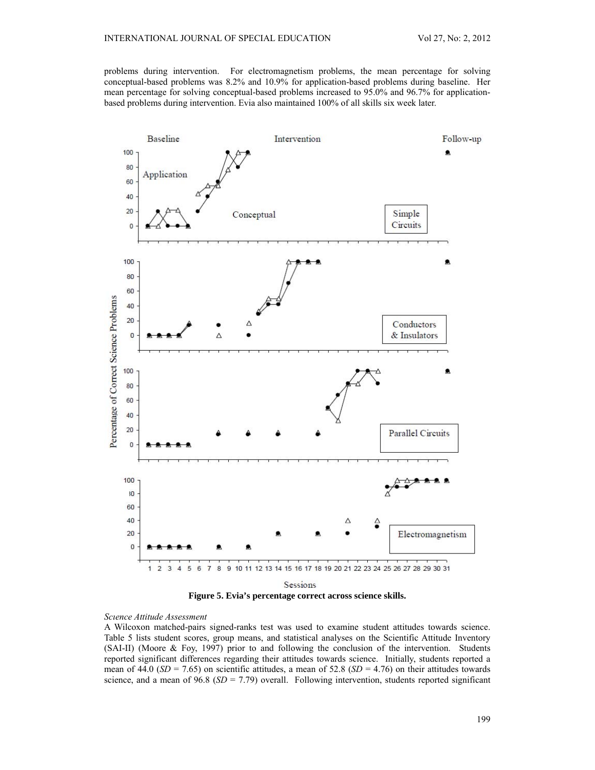problems during intervention. For electromagnetism problems, the mean percentage for solving conceptual-based problems was 8.2% and 10.9% for application-based problems during baseline. Her mean percentage for solving conceptual-based problems increased to 95.0% and 96.7% for applicationbased problems during intervention. Evia also maintained 100% of all skills six week later.



**Figure 5. Evia's percentage correct across science skills.** 

# *Science Attitude Assessment*

A Wilcoxon matched-pairs signed-ranks test was used to examine student attitudes towards science. Table 5 lists student scores, group means, and statistical analyses on the Scientific Attitude Inventory (SAI-II) (Moore & Foy, 1997) prior to and following the conclusion of the intervention. Students reported significant differences regarding their attitudes towards science. Initially, students reported a mean of 44.0 ( $SD = 7.65$ ) on scientific attitudes, a mean of 52.8 ( $SD = 4.76$ ) on their attitudes towards science, and a mean of  $96.8$  ( $SD = 7.79$ ) overall. Following intervention, students reported significant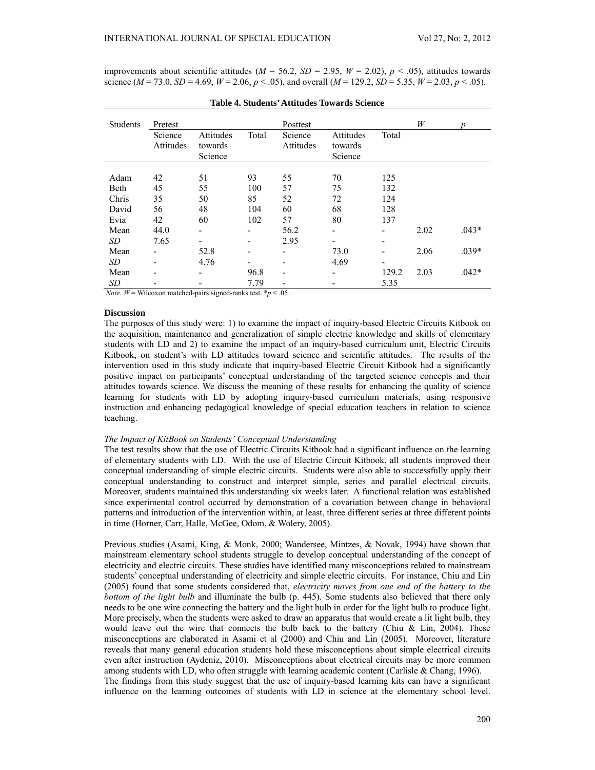improvements about scientific attitudes  $(M = 56.2, SD = 2.95, W = 2.02), p < .05$ , attitudes towards science  $(M = 73.0, SD = 4.69, W = 2.06, p < .05)$ , and overall  $(M = 129.2, SD = 5.35, W = 2.03, p < .05)$ .

| <b>Students</b> | Pretest   |           |       | Posttest  |                          |                          | W    | D       |
|-----------------|-----------|-----------|-------|-----------|--------------------------|--------------------------|------|---------|
|                 | Science   | Attitudes | Total | Science   | Attitudes                | Total                    |      |         |
|                 | Attitudes | towards   |       | Attitudes | towards                  |                          |      |         |
|                 |           | Science   |       |           | Science                  |                          |      |         |
|                 |           |           |       |           |                          |                          |      |         |
| Adam            | 42        | 51        | 93    | 55        | 70                       | 125                      |      |         |
| Beth            | 45        | 55        | 100   | 57        | 75                       | 132                      |      |         |
| Chris           | 35        | 50        | 85    | 52        | 72                       | 124                      |      |         |
| David           | 56        | 48        | 104   | 60        | 68                       | 128                      |      |         |
| Evia            | 42        | 60        | 102   | 57        | 80                       | 137                      |      |         |
| Mean            | 44.0      |           |       | 56.2      | -                        | $\overline{\phantom{0}}$ | 2.02 | $.043*$ |
| SD              | 7.65      |           | -     | 2.95      |                          | -                        |      |         |
| Mean            |           | 52.8      | -     | -         | 73.0                     | -                        | 2.06 | $.039*$ |
| SD              |           | 4.76      | -     | -         | 4.69                     | -                        |      |         |
| Mean            |           |           | 96.8  | -         | $\overline{\phantom{a}}$ | 129.2                    | 2.03 | $.042*$ |
| SD              |           |           | 7.79  |           |                          | 5.35                     |      |         |

*Note*. *W* = Wilcoxon matched-pairs signed-ranks test.  $*_{p}$  < .05.

#### **Discussion**

The purposes of this study were: 1) to examine the impact of inquiry-based Electric Circuits Kitbook on the acquisition, maintenance and generalization of simple electric knowledge and skills of elementary students with LD and 2) to examine the impact of an inquiry-based curriculum unit, Electric Circuits Kitbook, on student's with LD attitudes toward science and scientific attitudes. The results of the intervention used in this study indicate that inquiry-based Electric Circuit Kitbook had a significantly positive impact on participants' conceptual understanding of the targeted science concepts and their attitudes towards science. We discuss the meaning of these results for enhancing the quality of science learning for students with LD by adopting inquiry-based curriculum materials, using responsive instruction and enhancing pedagogical knowledge of special education teachers in relation to science teaching.

## *The Impact of KitBook on Students' Conceptual Understanding*

The test results show that the use of Electric Circuits Kitbook had a significant influence on the learning of elementary students with LD. With the use of Electric Circuit Kitbook, all students improved their conceptual understanding of simple electric circuits. Students were also able to successfully apply their conceptual understanding to construct and interpret simple, series and parallel electrical circuits. Moreover, students maintained this understanding six weeks later. A functional relation was established since experimental control occurred by demonstration of a covariation between change in behavioral patterns and introduction of the intervention within, at least, three different series at three different points in time (Horner, Carr, Halle, McGee, Odom, & Wolery, 2005).

Previous studies (Asami, King, & Monk, 2000; Wandersee, Mintzes, & Novak, 1994) have shown that mainstream elementary school students struggle to develop conceptual understanding of the concept of electricity and electric circuits. These studies have identified many misconceptions related to mainstream students' conceptual understanding of electricity and simple electric circuits. For instance, Chiu and Lin (2005) found that some students considered that, *electricity moves from one end of the battery to the bottom of the light bulb* and illuminate the bulb (p. 445). Some students also believed that there only needs to be one wire connecting the battery and the light bulb in order for the light bulb to produce light. More precisely, when the students were asked to draw an apparatus that would create a lit light bulb, they would leave out the wire that connects the bulb back to the battery (Chiu & Lin, 2004). These misconceptions are elaborated in Asami et al (2000) and Chiu and Lin (2005). Moreover, literature reveals that many general education students hold these misconceptions about simple electrical circuits even after instruction (Aydeniz, 2010). Misconceptions about electrical circuits may be more common among students with LD, who often struggle with learning academic content (Carlisle & Chang, 1996). The findings from this study suggest that the use of inquiry-based learning kits can have a significant influence on the learning outcomes of students with LD in science at the elementary school level.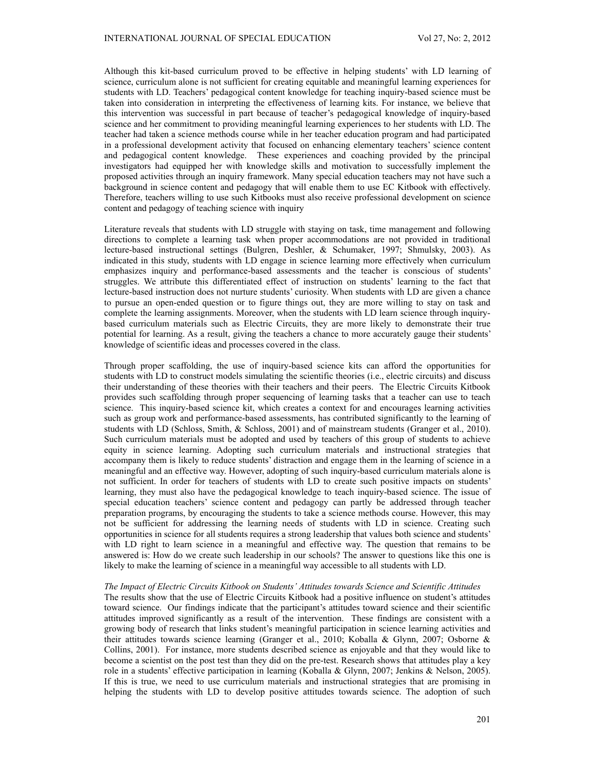Although this kit-based curriculum proved to be effective in helping students' with LD learning of science, curriculum alone is not sufficient for creating equitable and meaningful learning experiences for students with LD. Teachers' pedagogical content knowledge for teaching inquiry-based science must be taken into consideration in interpreting the effectiveness of learning kits. For instance, we believe that this intervention was successful in part because of teacher's pedagogical knowledge of inquiry-based science and her commitment to providing meaningful learning experiences to her students with LD. The teacher had taken a science methods course while in her teacher education program and had participated in a professional development activity that focused on enhancing elementary teachers' science content and pedagogical content knowledge. These experiences and coaching provided by the principal investigators had equipped her with knowledge skills and motivation to successfully implement the proposed activities through an inquiry framework. Many special education teachers may not have such a background in science content and pedagogy that will enable them to use EC Kitbook with effectively. Therefore, teachers willing to use such Kitbooks must also receive professional development on science content and pedagogy of teaching science with inquiry

Literature reveals that students with LD struggle with staying on task, time management and following directions to complete a learning task when proper accommodations are not provided in traditional lecture-based instructional settings (Bulgren, Deshler, & Schumaker, 1997; Shmulsky, 2003). As indicated in this study, students with LD engage in science learning more effectively when curriculum emphasizes inquiry and performance-based assessments and the teacher is conscious of students' struggles. We attribute this differentiated effect of instruction on students' learning to the fact that lecture-based instruction does not nurture students' curiosity. When students with LD are given a chance to pursue an open-ended question or to figure things out, they are more willing to stay on task and complete the learning assignments. Moreover, when the students with LD learn science through inquirybased curriculum materials such as Electric Circuits, they are more likely to demonstrate their true potential for learning. As a result, giving the teachers a chance to more accurately gauge their students' knowledge of scientific ideas and processes covered in the class.

Through proper scaffolding, the use of inquiry-based science kits can afford the opportunities for students with LD to construct models simulating the scientific theories (i.e., electric circuits) and discuss their understanding of these theories with their teachers and their peers. The Electric Circuits Kitbook provides such scaffolding through proper sequencing of learning tasks that a teacher can use to teach science. This inquiry-based science kit, which creates a context for and encourages learning activities such as group work and performance-based assessments, has contributed significantly to the learning of students with LD (Schloss, Smith, & Schloss, 2001) and of mainstream students (Granger et al., 2010). Such curriculum materials must be adopted and used by teachers of this group of students to achieve equity in science learning. Adopting such curriculum materials and instructional strategies that accompany them is likely to reduce students' distraction and engage them in the learning of science in a meaningful and an effective way. However, adopting of such inquiry-based curriculum materials alone is not sufficient. In order for teachers of students with LD to create such positive impacts on students' learning, they must also have the pedagogical knowledge to teach inquiry-based science. The issue of special education teachers' science content and pedagogy can partly be addressed through teacher preparation programs, by encouraging the students to take a science methods course. However, this may not be sufficient for addressing the learning needs of students with LD in science. Creating such opportunities in science for all students requires a strong leadership that values both science and students' with LD right to learn science in a meaningful and effective way. The question that remains to be answered is: How do we create such leadership in our schools? The answer to questions like this one is likely to make the learning of science in a meaningful way accessible to all students with LD.

#### *The Impact of Electric Circuits Kitbook on Students' Attitudes towards Science and Scientific Attitudes*

The results show that the use of Electric Circuits Kitbook had a positive influence on student's attitudes toward science. Our findings indicate that the participant's attitudes toward science and their scientific attitudes improved significantly as a result of the intervention. These findings are consistent with a growing body of research that links student's meaningful participation in science learning activities and their attitudes towards science learning (Granger et al., 2010; Koballa & Glynn, 2007; Osborne & Collins, 2001). For instance, more students described science as enjoyable and that they would like to become a scientist on the post test than they did on the pre-test. Research shows that attitudes play a key role in a students' effective participation in learning (Koballa & Glynn, 2007; Jenkins & Nelson, 2005). If this is true, we need to use curriculum materials and instructional strategies that are promising in helping the students with LD to develop positive attitudes towards science. The adoption of such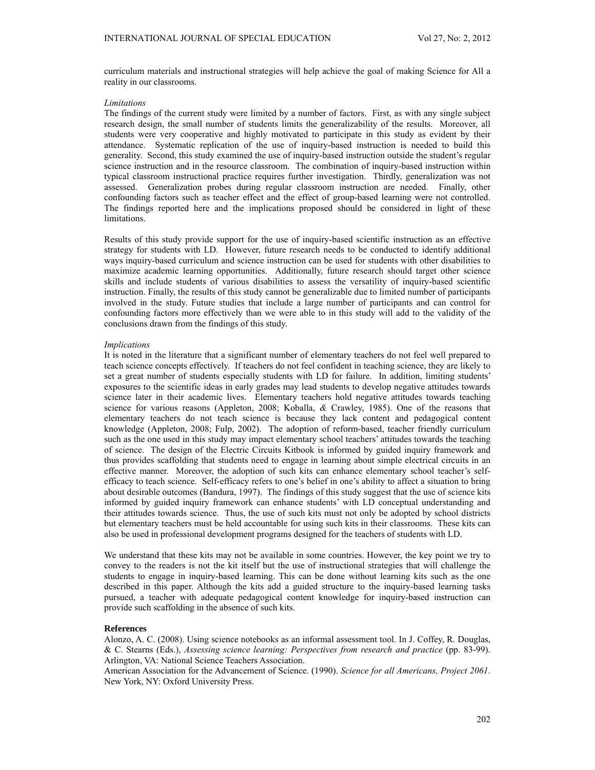curriculum materials and instructional strategies will help achieve the goal of making Science for All a reality in our classrooms.

#### *Limitations*

The findings of the current study were limited by a number of factors. First, as with any single subject research design, the small number of students limits the generalizability of the results. Moreover, all students were very cooperative and highly motivated to participate in this study as evident by their attendance. Systematic replication of the use of inquiry-based instruction is needed to build this generality. Second, this study examined the use of inquiry-based instruction outside the student's regular science instruction and in the resource classroom. The combination of inquiry-based instruction within typical classroom instructional practice requires further investigation. Thirdly, generalization was not assessed. Generalization probes during regular classroom instruction are needed. Finally, other confounding factors such as teacher effect and the effect of group-based learning were not controlled. The findings reported here and the implications proposed should be considered in light of these limitations.

Results of this study provide support for the use of inquiry-based scientific instruction as an effective strategy for students with LD. However, future research needs to be conducted to identify additional ways inquiry-based curriculum and science instruction can be used for students with other disabilities to maximize academic learning opportunities. Additionally, future research should target other science skills and include students of various disabilities to assess the versatility of inquiry-based scientific instruction. Finally, the results of this study cannot be generalizable due to limited number of participants involved in the study. Future studies that include a large number of participants and can control for confounding factors more effectively than we were able to in this study will add to the validity of the conclusions drawn from the findings of this study.

### *Implications*

It is noted in the literature that a significant number of elementary teachers do not feel well prepared to teach science concepts effectively. If teachers do not feel confident in teaching science, they are likely to set a great number of students especially students with LD for failure. In addition, limiting students' exposures to the scientific ideas in early grades may lead students to develop negative attitudes towards science later in their academic lives. Elementary teachers hold negative attitudes towards teaching science for various reasons (Appleton, 2008; Koballa, *&* Crawley, 1985). One of the reasons that elementary teachers do not teach science is because they lack content and pedagogical content knowledge (Appleton, 2008; Fulp, 2002). The adoption of reform-based, teacher friendly curriculum such as the one used in this study may impact elementary school teachers' attitudes towards the teaching of science. The design of the Electric Circuits Kitbook is informed by guided inquiry framework and thus provides scaffolding that students need to engage in learning about simple electrical circuits in an effective manner. Moreover, the adoption of such kits can enhance elementary school teacher's selfefficacy to teach science. Self-efficacy refers to one's belief in one's ability to affect a situation to bring about desirable outcomes (Bandura, 1997). The findings of this study suggest that the use of science kits informed by guided inquiry framework can enhance students' with LD conceptual understanding and their attitudes towards science. Thus, the use of such kits must not only be adopted by school districts but elementary teachers must be held accountable for using such kits in their classrooms. These kits can also be used in professional development programs designed for the teachers of students with LD.

We understand that these kits may not be available in some countries. However, the key point we try to convey to the readers is not the kit itself but the use of instructional strategies that will challenge the students to engage in inquiry-based learning. This can be done without learning kits such as the one described in this paper. Although the kits add a guided structure to the inquiry-based learning tasks pursued, a teacher with adequate pedagogical content knowledge for inquiry-based instruction can provide such scaffolding in the absence of such kits.

## **References**

Alonzo, A. C. (2008). Using science notebooks as an informal assessment tool. In J. Coffey, R. Douglas, & C. Stearns (Eds.), *Assessing science learning: Perspectives from research and practice* (pp. 83-99). Arlington, VA: National Science Teachers Association.

American Association for the Advancement of Science. (1990). *Science for all Americans, Project 2061*. New York, NY: Oxford University Press.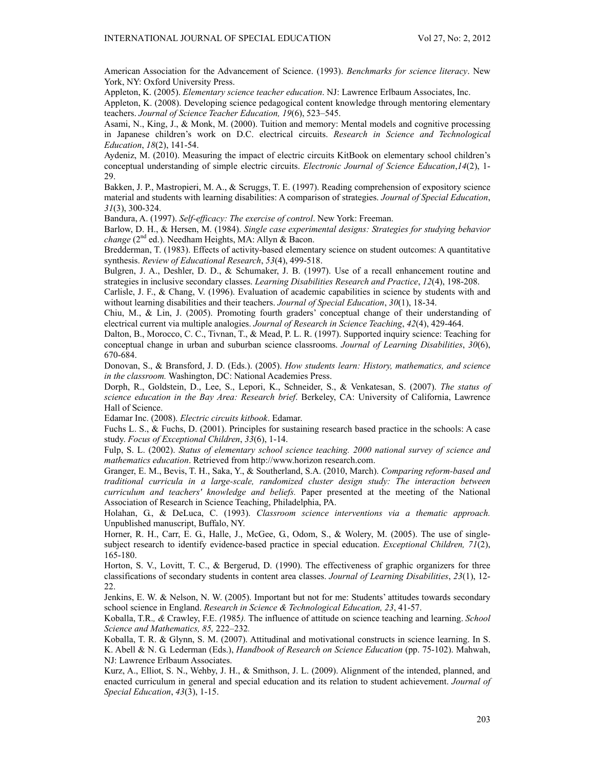American Association for the Advancement of Science. (1993). *Benchmarks for science literacy*. New York, NY: Oxford University Press.

Appleton, K. (2005). *Elementary science teacher education*. NJ: Lawrence Erlbaum Associates, Inc.

Appleton, K. (2008). Developing science pedagogical content knowledge through mentoring elementary teachers. *Journal of Science Teacher Education, 19*(6), 523–545.

Asami, N., King, J., & Monk, M. (2000). Tuition and memory: Mental models and cognitive processing in Japanese children's work on D.C. electrical circuits. *Research in Science and Technological Education*, *18*(2), 141-54.

Aydeniz, M. (2010). Measuring the impact of electric circuits KitBook on elementary school children's conceptual understanding of simple electric circuits. *Electronic Journal of Science Education*,*14*(2), 1- 29.

Bakken, J. P., Mastropieri, M. A., & Scruggs, T. E. (1997). Reading comprehension of expository science material and students with learning disabilities: A comparison of strategies. *Journal of Special Education*, *31*(3), 300-324.

Bandura, A. (1997). *Self-efficacy: The exercise of control*. New York: Freeman.

Barlow, D. H., & Hersen, M. (1984). *Single case experimental designs: Strategies for studying behavior change* (2<sup>nd</sup> ed.). Needham Heights, MA: Allyn & Bacon.

Bredderman, T. (1983). Effects of activity-based elementary science on student outcomes: A quantitative synthesis. *Review of Educational Research*, *53*(4), 499-518.

Bulgren, J. A., Deshler, D. D., & Schumaker, J. B. (1997). Use of a recall enhancement routine and strategies in inclusive secondary classes. *Learning Disabilities Research and Practice*, *12*(4), 198-208.

Carlisle, J. F., & Chang, V. (1996). Evaluation of academic capabilities in science by students with and without learning disabilities and their teachers. *Journal of Special Education*, *30*(1), 18-34.

Chiu, M., & Lin, J. (2005). Promoting fourth graders' conceptual change of their understanding of electrical current via multiple analogies. *Journal of Research in Science Teaching*, *42*(4), 429-464.

Dalton, B., Morocco, C. C., Tivnan, T., & Mead, P. L. R. (1997). Supported inquiry science: Teaching for conceptual change in urban and suburban science classrooms. *Journal of Learning Disabilities*, *30*(6), 670-684.

Donovan, S., & Bransford, J. D. (Eds.). (2005). *How students learn: History, mathematics, and science in the classroom.* Washington, DC: National Academies Press.

Dorph, R., Goldstein, D., Lee, S., Lepori, K., Schneider, S., & Venkatesan, S. (2007). *The status of science education in the Bay Area: Research brief*. Berkeley, CA: University of California, Lawrence Hall of Science.

Edamar Inc. (2008). *Electric circuits kitbook*. Edamar.

Fuchs L. S., & Fuchs, D. (2001). Principles for sustaining research based practice in the schools: A case study. *Focus of Exceptional Children*, *33*(6), 1-14.

Fulp, S. L. (2002). *Status of elementary school science teaching. 2000 national survey of science and mathematics education*. Retrieved from http://www.horizon research.com.

Granger, E. M., Bevis, T. H., Saka, Y., & Southerland, S.A. (2010, March). *Comparing reform-based and traditional curricula in a large-scale, randomized cluster design study: The interaction between curriculum and teachers' knowledge and beliefs.* Paper presented at the meeting of the National Association of Research in Science Teaching, Philadelphia, PA.

Holahan, G., & DeLuca, C. (1993). *Classroom science interventions via a thematic approach.* Unpublished manuscript, Buffalo, NY.

Horner, R. H., Carr, E. G., Halle, J., McGee, G., Odom, S., & Wolery, M. (2005). The use of singlesubject research to identify evidence-based practice in special education. *Exceptional Children, 71*(2), 165-180.

Horton, S. V., Lovitt, T. C., & Bergerud, D. (1990). The effectiveness of graphic organizers for three classifications of secondary students in content area classes. *Journal of Learning Disabilities*, *23*(1), 12- 22.

Jenkins, E. W. & Nelson, N. W. (2005). Important but not for me: Students' attitudes towards secondary school science in England. *Research in Science & Technological Education, 23*, 41-57.

Koballa, T.R.*, &* Crawley, F.E. *(*1985*).* The influence of attitude on science teaching and learning. *School Science and Mathematics, 85,* 222*–*232*.*

Koballa, T. R. & Glynn, S. M. (2007). Attitudinal and motivational constructs in science learning. In S. K. Abell & N. G. Lederman (Eds.), *Handbook of Research on Science Education* (pp. 75-102). Mahwah, NJ: Lawrence Erlbaum Associates.

Kurz, A., Elliot, S. N., Wehby, J. H., & Smithson, J. L. (2009). Alignment of the intended, planned, and enacted curriculum in general and special education and its relation to student achievement. *Journal of Special Education*, *43*(3), 1-15.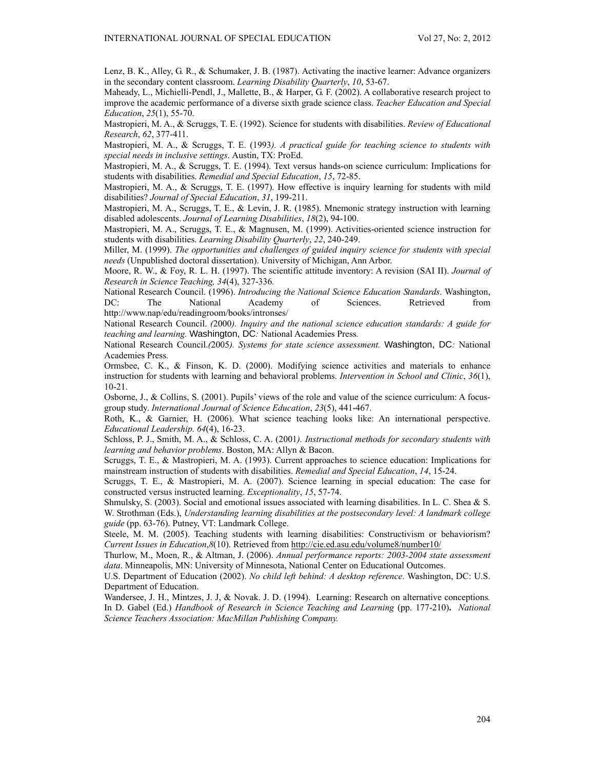Lenz, B. K., Alley, G. R., & Schumaker, J. B. (1987). Activating the inactive learner: Advance organizers in the secondary content classroom. *Learning Disability Quarterly*, *10*, 53-67.

Maheady, L., Michielli-Pendl, J., Mallette, B., & Harper, G. F. (2002). A collaborative research project to improve the academic performance of a diverse sixth grade science class. *Teacher Education and Special Education*, *25*(1), 55-70.

Mastropieri, M. A., & Scruggs, T. E. (1992). Science for students with disabilities. *Review of Educational Research*, *62*, 377-411.

Mastropieri, M. A., & Scruggs, T. E. (1993*). A practical guide for teaching science to students with special needs in inclusive settings*. Austin, TX: ProEd.

Mastropieri, M. A., & Scruggs, T. E. (1994). Text versus hands-on science curriculum: Implications for students with disabilities. *Remedial and Special Education*, *15*, 72-85.

Mastropieri, M. A., & Scruggs, T. E. (1997). How effective is inquiry learning for students with mild disabilities? *Journal of Special Education*, *31*, 199-211.

Mastropieri, M. A., Scruggs, T. E., & Levin, J. R. (1985). Mnemonic strategy instruction with learning disabled adolescents. *Journal of Learning Disabilities*, *18*(2), 94-100.

Mastropieri, M. A., Scruggs, T. E., & Magnusen, M. (1999). Activities-oriented science instruction for students with disabilities. *Learning Disability Quarterly*, *22*, 240-249.

Miller, M. (1999). *The opportunities and challenges of guided inquiry science for students with special needs* (Unpublished doctoral dissertation). University of Michigan, Ann Arbor.

Moore, R. W., & Foy, R. L. H. (1997). The scientific attitude inventory: A revision (SAI II). *Journal of Research in Science Teaching, 34*(4), 327-336*.*

National Research Council. (1996). *Introducing the National Science Education Standards*. Washington, DC: The National Academy of Sciences. Retrieved from http://www.nap/edu/readingroom/books/intronses/

National Research Council. *(*2000*). Inquiry and the national science education standards: A guide for teaching and learning.* Washington, DC*:* National Academies Press*.*

National Research Council.*(*2005*). Systems for state science assessment.* Washington, DC*:* National Academies Press*.*

Ormsbee, C. K., & Finson, K. D. (2000). Modifying science activities and materials to enhance instruction for students with learning and behavioral problems. *Intervention in School and Clinic*, *36*(1), 10-21.

Osborne, J., & Collins, S. (2001). Pupils' views of the role and value of the science curriculum: A focusgroup study. *International Journal of Science Education*, *23*(5), 441-467.

Roth, K., & Garnier, H. (2006). What science teaching looks like: An international perspective. *Educational Leadership. 64*(4), 16-23.

Schloss, P. J., Smith, M. A., & Schloss, C. A. (2001*). Instructional methods for secondary students with learning and behavior problems*. Boston, MA: Allyn & Bacon.

Scruggs, T. E., & Mastropieri, M. A. (1993). Current approaches to science education: Implications for mainstream instruction of students with disabilities. *Remedial and Special Education*, *14*, 15-24.

Scruggs, T. E., & Mastropieri, M. A. (2007). Science learning in special education: The case for constructed versus instructed learning. *Exceptionality*, *15*, 57-74.

Shmulsky, S. (2003). Social and emotional issues associated with learning disabilities. In L. C. Shea & S. W. Strothman (Eds.), *Understanding learning disabilities at the postsecondary level: A landmark college guide* (pp. 63-76). Putney, VT: Landmark College.

Steele, M. M. (2005). Teaching students with learning disabilities: Constructivism or behaviorism? *Current Issues in Education*,*8*(10). Retrieved from http://cie.ed.asu.edu/volume8/number10/

Thurlow, M., Moen, R., & Altman, J. (2006). *Annual performance reports: 2003-2004 state assessment data*. Minneapolis, MN: University of Minnesota, National Center on Educational Outcomes.

U.S. Department of Education (2002). *No child left behind: A desktop reference*. Washington, DC: U.S. Department of Education.

Wandersee, J. H., Mintzes, J. J, & Novak. J. D. (1994). Learning: Research on alternative conceptions*.*  In D. Gabel (Ed.) *Handbook of Research in Science Teaching and Learning* (pp. 177-210)**.** *National Science Teachers Association: MacMillan Publishing Company.*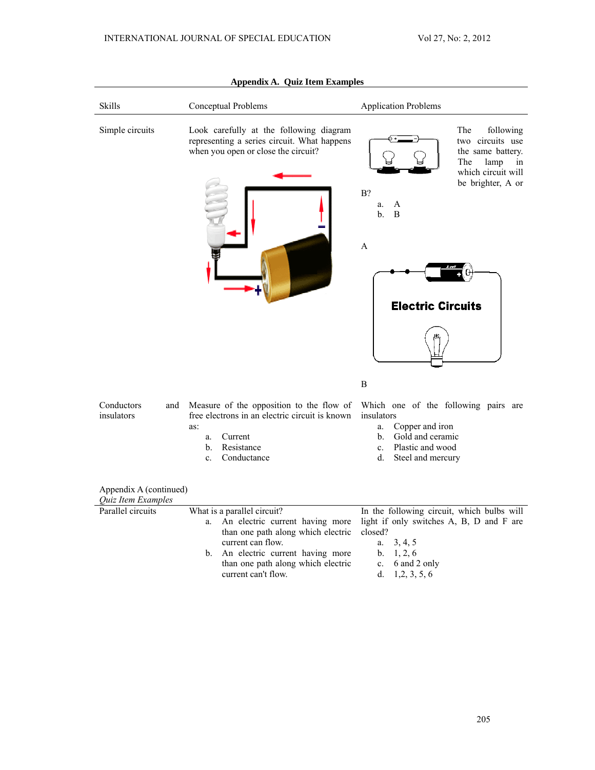| Skills                                       | Conceptual Problems                                                                                                                                                     | <b>Application Problems</b>                                                                                                                                                                           |
|----------------------------------------------|-------------------------------------------------------------------------------------------------------------------------------------------------------------------------|-------------------------------------------------------------------------------------------------------------------------------------------------------------------------------------------------------|
| Simple circuits                              | Look carefully at the following diagram<br>representing a series circuit. What happens<br>when you open or close the circuit?                                           | The<br>following<br>two circuits use<br>the same battery.<br>The<br>lamp<br>in<br>which circuit will<br>be brighter, A or<br>$B$ ?<br>a.<br>A<br>$\mathbf{b}$ .<br>B<br>A<br><b>Electric Circuits</b> |
|                                              |                                                                                                                                                                         | B                                                                                                                                                                                                     |
| Conductors<br>and<br>insulators              | Measure of the opposition to the flow of<br>free electrons in an electric circuit is known<br>as:<br>Current<br>a.<br>Resistance<br>b.<br>Conductance<br>$\mathbf{c}$ . | Which one of the following pairs are<br>insulators<br>Copper and iron<br>a.<br>Gold and ceramic<br>$b_{-}$<br>Plastic and wood<br>$\mathbf{c}$ .<br>Steel and mercury<br>d.                           |
| Appendix A (continued)<br>Quiz Item Examples |                                                                                                                                                                         |                                                                                                                                                                                                       |
| Parallel circuits                            | What is a parallel circuit?                                                                                                                                             | In the following circuit, which bulbs will                                                                                                                                                            |
|                                              | An electric current having more<br>a.                                                                                                                                   | light if only switches A, B, D and F are                                                                                                                                                              |
|                                              | than one path along which electric                                                                                                                                      | closed?                                                                                                                                                                                               |
|                                              | current can flow.                                                                                                                                                       | 3, 4, 5<br>a.                                                                                                                                                                                         |
|                                              | An electric current having more<br>b.                                                                                                                                   | 1, 2, 6<br>b.                                                                                                                                                                                         |
|                                              | than one path along which electric<br>current can't flow.                                                                                                               | 6 and 2 only<br>c.<br>d.<br>1, 2, 3, 5, 6                                                                                                                                                             |

# **Appendix A. Quiz Item Examples**